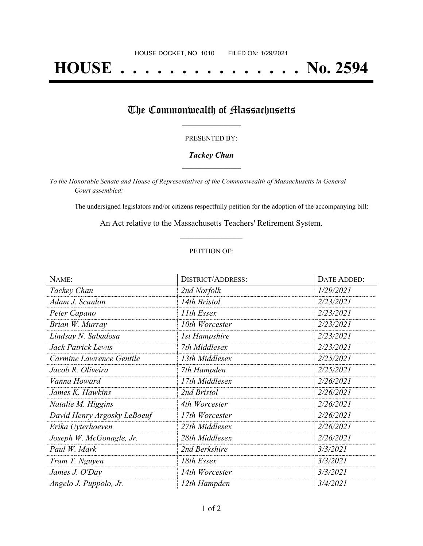# **HOUSE . . . . . . . . . . . . . . . No. 2594**

## The Commonwealth of Massachusetts

#### PRESENTED BY:

#### *Tackey Chan* **\_\_\_\_\_\_\_\_\_\_\_\_\_\_\_\_\_**

*To the Honorable Senate and House of Representatives of the Commonwealth of Massachusetts in General Court assembled:*

The undersigned legislators and/or citizens respectfully petition for the adoption of the accompanying bill:

An Act relative to the Massachusetts Teachers' Retirement System. **\_\_\_\_\_\_\_\_\_\_\_\_\_\_\_**

#### PETITION OF:

| NAME:                       | <b>DISTRICT/ADDRESS:</b> | DATE ADDED: |
|-----------------------------|--------------------------|-------------|
| Tackey Chan                 | 2nd Norfolk              | 1/29/2021   |
| Adam J. Scanlon             | 14th Bristol             | 2/23/2021   |
| Peter Capano                | 11th Essex               | 2/23/2021   |
| Brian W. Murray             | 10th Worcester           | 2/23/2021   |
| Lindsay N. Sabadosa         | <b>1st Hampshire</b>     | 2/23/2021   |
| Jack Patrick Lewis          | 7th Middlesex            | 2/23/2021   |
| Carmine Lawrence Gentile    | 13th Middlesex           | 2/25/2021   |
| Jacob R. Oliveira           | 7th Hampden              | 2/25/2021   |
| Vanna Howard                | 17th Middlesex           | 2/26/2021   |
| James K. Hawkins            | 2nd Bristol              | 2/26/2021   |
| Natalie M. Higgins          | 4th Worcester            | 2/26/2021   |
| David Henry Argosky LeBoeuf | 17th Worcester           | 2/26/2021   |
| Erika Uyterhoeven           | 27th Middlesex           | 2/26/2021   |
| Joseph W. McGonagle, Jr.    | 28th Middlesex           | 2/26/2021   |
| Paul W. Mark                | 2nd Berkshire            | 3/3/2021    |
| Tram T. Nguyen              | 18th Essex               | 3/3/2021    |
| James J. O'Day              | 14th Worcester           | 3/3/2021    |
| Angelo J. Puppolo, Jr.      | 12th Hampden             | 3/4/2021    |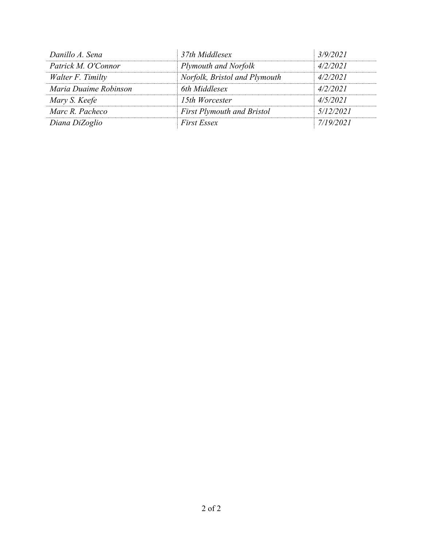| Danillo A. Sena       | 37th Middlesex                    | 3/9/2021  |
|-----------------------|-----------------------------------|-----------|
| Patrick M. O'Connor   | Plymouth and Norfolk              | 4/2/2021  |
| Walter F. Timilty     | Norfolk, Bristol and Plymouth     | 4/2/2021  |
| Maria Duaime Robinson | 6th Middlesex                     | 4/2/2021  |
| Mary S. Keefe         | 15th Worcester                    | 4/5/2021  |
| Marc R. Pacheco       | <b>First Plymouth and Bristol</b> | 5/12/2021 |
| Diana DiZoglio        | <b>First Essex</b>                | 7/19/2021 |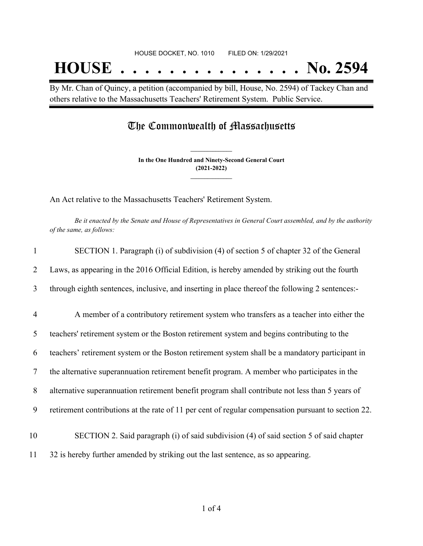By Mr. Chan of Quincy, a petition (accompanied by bill, House, No. 2594) of Tackey Chan and others relative to the Massachusetts Teachers' Retirement System. Public Service.

### The Commonwealth of Massachusetts

**In the One Hundred and Ninety-Second General Court (2021-2022) \_\_\_\_\_\_\_\_\_\_\_\_\_\_\_**

**\_\_\_\_\_\_\_\_\_\_\_\_\_\_\_**

An Act relative to the Massachusetts Teachers' Retirement System.

Be it enacted by the Senate and House of Representatives in General Court assembled, and by the authority *of the same, as follows:*

| 1              | SECTION 1. Paragraph (i) of subdivision (4) of section 5 of chapter 32 of the General               |
|----------------|-----------------------------------------------------------------------------------------------------|
| 2              | Laws, as appearing in the 2016 Official Edition, is hereby amended by striking out the fourth       |
| 3              | through eighth sentences, inclusive, and inserting in place thereof the following 2 sentences:-     |
| $\overline{4}$ | A member of a contributory retirement system who transfers as a teacher into either the             |
| 5              | teachers' retirement system or the Boston retirement system and begins contributing to the          |
| 6              | teachers' retirement system or the Boston retirement system shall be a mandatory participant in     |
| 7              | the alternative superannuation retirement benefit program. A member who participates in the         |
| 8              | alternative superannuation retirement benefit program shall contribute not less than 5 years of     |
| 9              | retirement contributions at the rate of 11 per cent of regular compensation pursuant to section 22. |
| 10             | SECTION 2. Said paragraph (i) of said subdivision (4) of said section 5 of said chapter             |
| 11             | 32 is hereby further amended by striking out the last sentence, as so appearing.                    |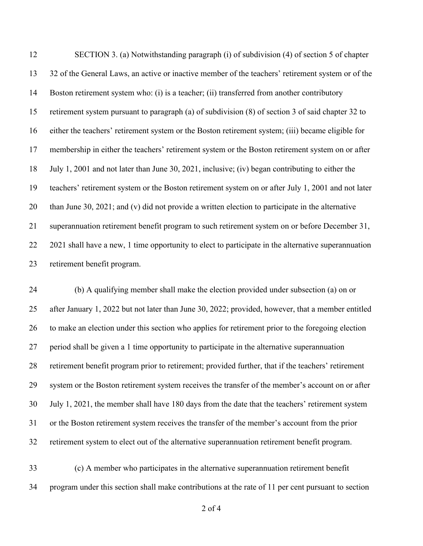SECTION 3. (a) Notwithstanding paragraph (i) of subdivision (4) of section 5 of chapter 32 of the General Laws, an active or inactive member of the teachers' retirement system or of the Boston retirement system who: (i) is a teacher; (ii) transferred from another contributory retirement system pursuant to paragraph (a) of subdivision (8) of section 3 of said chapter 32 to either the teachers' retirement system or the Boston retirement system; (iii) became eligible for membership in either the teachers' retirement system or the Boston retirement system on or after July 1, 2001 and not later than June 30, 2021, inclusive; (iv) began contributing to either the teachers' retirement system or the Boston retirement system on or after July 1, 2001 and not later than June 30, 2021; and (v) did not provide a written election to participate in the alternative superannuation retirement benefit program to such retirement system on or before December 31, 2021 shall have a new, 1 time opportunity to elect to participate in the alternative superannuation retirement benefit program.

 (b) A qualifying member shall make the election provided under subsection (a) on or after January 1, 2022 but not later than June 30, 2022; provided, however, that a member entitled to make an election under this section who applies for retirement prior to the foregoing election period shall be given a 1 time opportunity to participate in the alternative superannuation retirement benefit program prior to retirement; provided further, that if the teachers' retirement system or the Boston retirement system receives the transfer of the member's account on or after July 1, 2021, the member shall have 180 days from the date that the teachers' retirement system or the Boston retirement system receives the transfer of the member's account from the prior retirement system to elect out of the alternative superannuation retirement benefit program.

 (c) A member who participates in the alternative superannuation retirement benefit program under this section shall make contributions at the rate of 11 per cent pursuant to section

of 4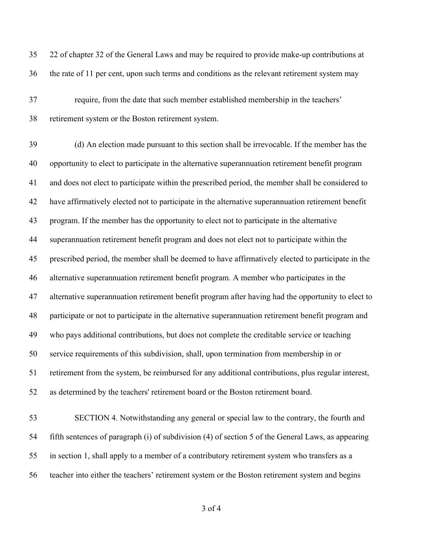22 of chapter 32 of the General Laws and may be required to provide make-up contributions at the rate of 11 per cent, upon such terms and conditions as the relevant retirement system may require, from the date that such member established membership in the teachers' retirement system or the Boston retirement system. (d) An election made pursuant to this section shall be irrevocable. If the member has the opportunity to elect to participate in the alternative superannuation retirement benefit program and does not elect to participate within the prescribed period, the member shall be considered to have affirmatively elected not to participate in the alternative superannuation retirement benefit program. If the member has the opportunity to elect not to participate in the alternative superannuation retirement benefit program and does not elect not to participate within the prescribed period, the member shall be deemed to have affirmatively elected to participate in the alternative superannuation retirement benefit program. A member who participates in the alternative superannuation retirement benefit program after having had the opportunity to elect to participate or not to participate in the alternative superannuation retirement benefit program and who pays additional contributions, but does not complete the creditable service or teaching service requirements of this subdivision, shall, upon termination from membership in or retirement from the system, be reimbursed for any additional contributions, plus regular interest, as determined by the teachers' retirement board or the Boston retirement board. SECTION 4. Notwithstanding any general or special law to the contrary, the fourth and fifth sentences of paragraph (i) of subdivision (4) of section 5 of the General Laws, as appearing in section 1, shall apply to a member of a contributory retirement system who transfers as a teacher into either the teachers' retirement system or the Boston retirement system and begins